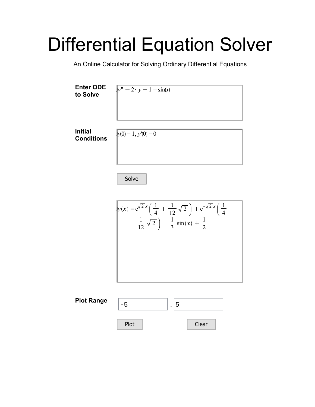## Differential Equation Solver

An Online Calculator for Solving Ordinary Differential Equations



Solve



| <b>Plot Range</b> |      | . . |       |  |
|-------------------|------|-----|-------|--|
|                   | Plot |     | Clear |  |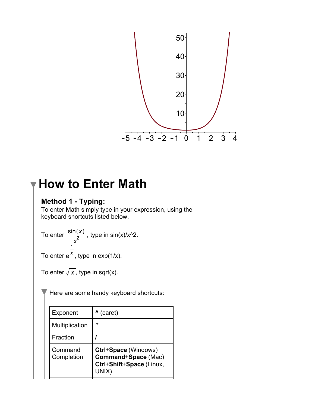

## **How to Enter Math**

## **Method 1 - Typing:**

To enter Math simply type in your expression, using the keyboard shortcuts listed below.

To enter  $\frac{3\ln(x)}{2}$ , type in sin(x)/x<sup>2</sup>.

To enter  $e^{\lambda}$  , type in exp(1/x).

To enter  $\sqrt{x}$ , type in sqrt(x).

Here are some handy keyboard shortcuts:

| Exponent              | $^{\prime}$ (caret)                                                                     |
|-----------------------|-----------------------------------------------------------------------------------------|
| Multiplication        | $\star$                                                                                 |
| Fraction              |                                                                                         |
| Command<br>Completion | Ctrl+Space (Windows)<br><b>Command+Space (Mac)</b><br>Ctrl+Shift+Space (Linux,<br>UNIX) |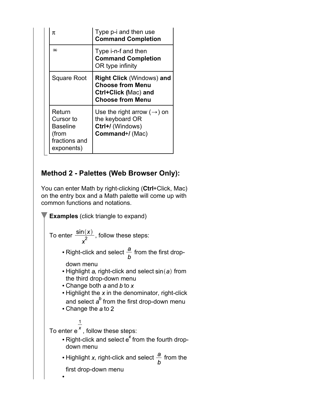| π                                                                              | Type p-i and then use<br><b>Command Completion</b>                                                                    |
|--------------------------------------------------------------------------------|-----------------------------------------------------------------------------------------------------------------------|
| $\infty$                                                                       | Type i-n-f and then<br><b>Command Completion</b><br>OR type infinity                                                  |
| <b>Square Root</b>                                                             | <b>Right Click (Windows) and</b><br><b>Choose from Menu</b><br><b>Ctrl+Click (Mac) and</b><br><b>Choose from Menu</b> |
| Return<br>Cursor to<br><b>Baseline</b><br>(from<br>fractions and<br>exponents) | Use the right arrow $(\rightarrow)$ on<br>the keyboard OR<br>Ctrl+/ (Windows)<br>Command+/(Mac)                       |

## **Method 2 - Palettes (Web Browser Only):**

You can enter Math by right-clicking (**Ctrl**+Click, Mac) on the entry box and a Math palette will come up with common functions and notations.

**Examples** (click triangle to expand) To enter  $\frac{\sin(x)}{x^2}$ , follow these steps: • Right-click and select  $\frac{a}{b}$  from the first dropdown menu  $\cdot$  Highlight a, right-click and select  $sin(a)$  from the third drop-down menu • Change both  $a$  and  $b$  to  $x$  $\cdot$  Highlight the x in the denominator, right-click and select  $a^b$  from the first drop-down menu  $\cdot$  Change the a to 2 To enter  $e^{\overline{x}}$ , follow these steps: • Right-click and select  $e^x$  from the fourth dropdown menu • Highlight x, right-click and select  $\frac{a}{b}$  from the first drop-down menu